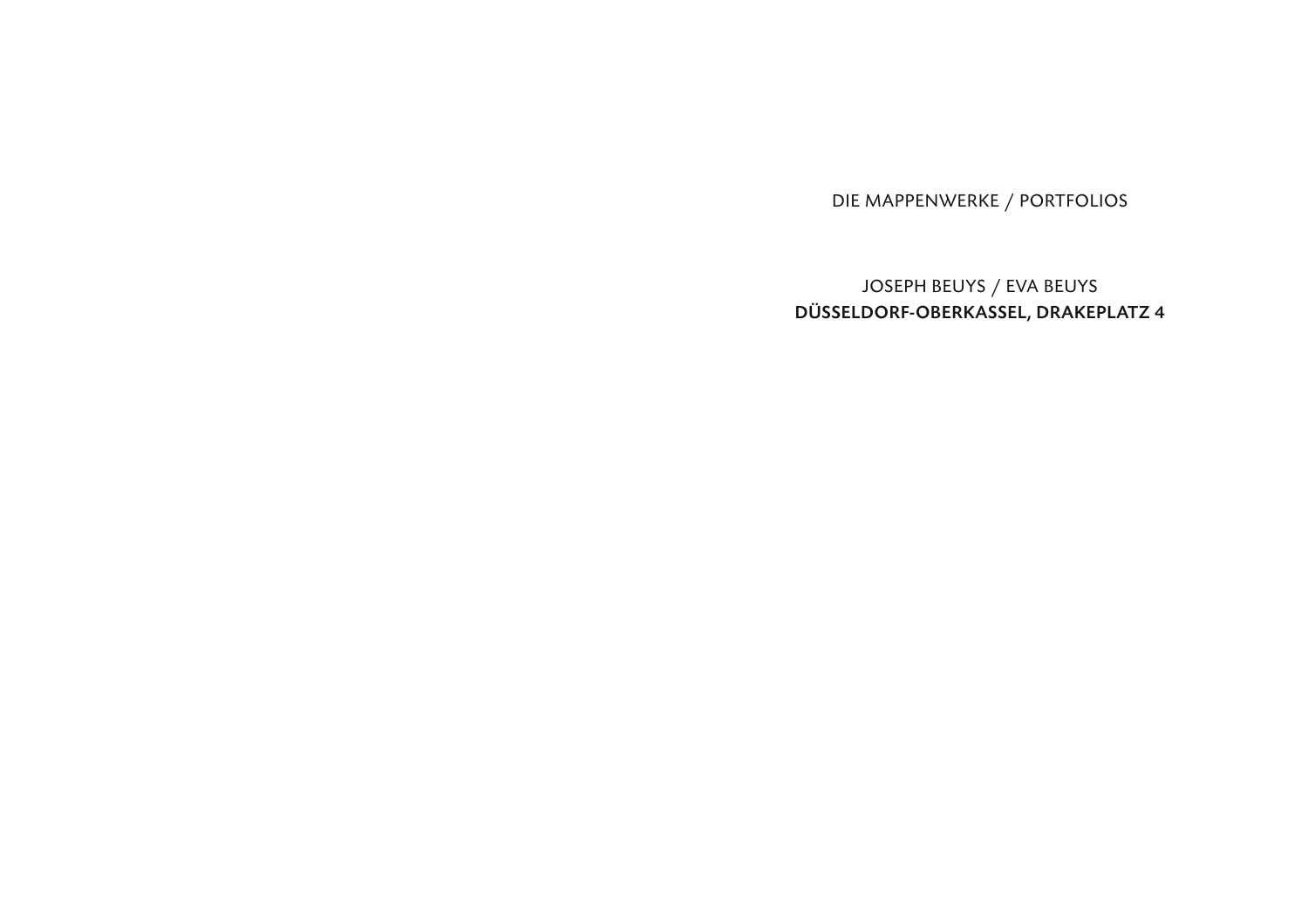DIE MAPPENWERKE / PORTFOLIOS

JOSEPH BEUYS / EVA BEUYS DÜSSELDORF-OBERKASSEL, DRAKEPLATZ 4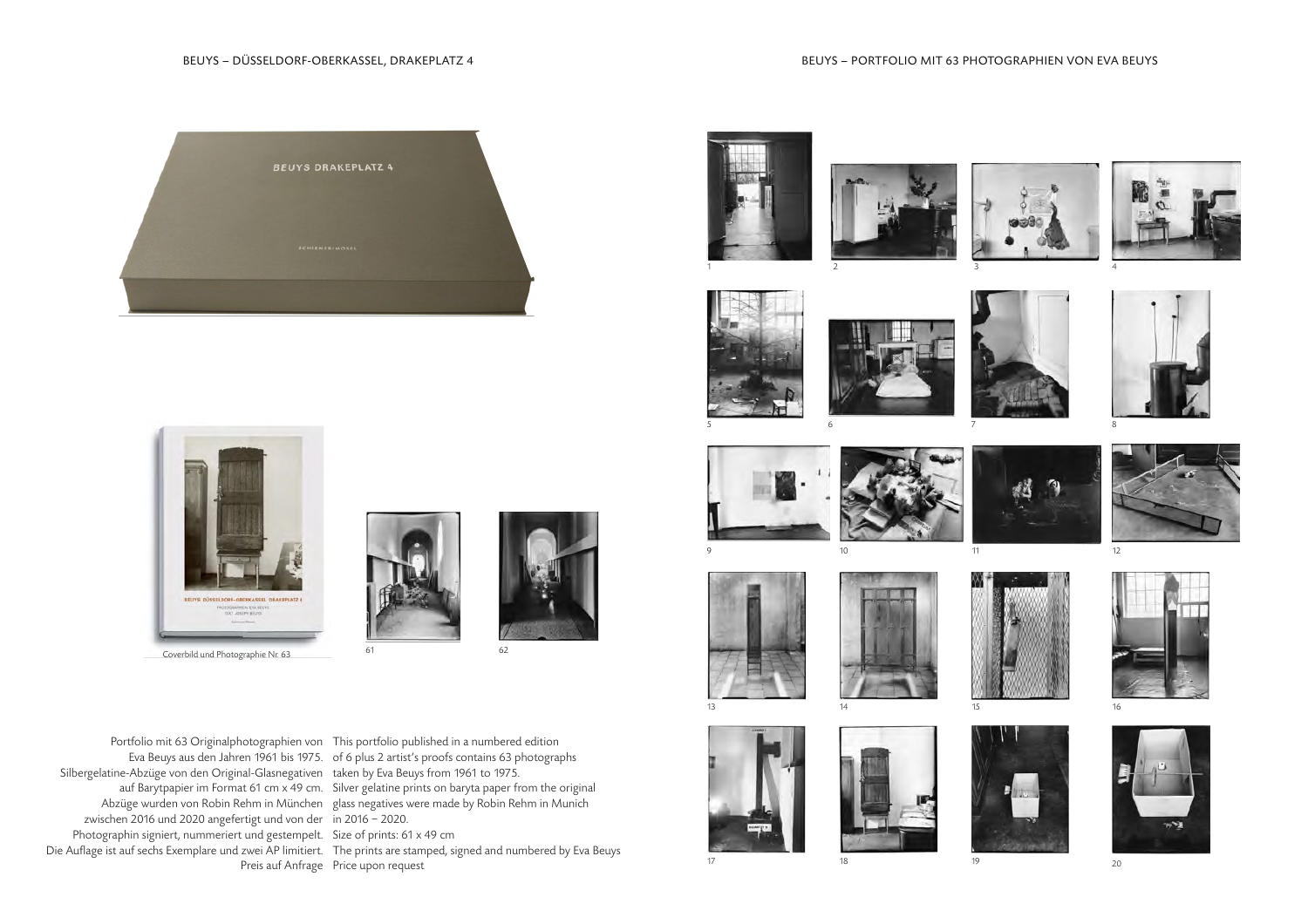































Portfolio mit 63 Originalphotographien von

Photographin signiert, nummeriert und gestempelt. Die Auflage ist auf sechs Exemplare und zwei AP limitiert.



Eva Beuys aus den Jahren 1961 bis 1975. Silbergelatine-Abzüge von den Original-Glasnegativen auf Barytpapier im Format 61 cm x 49 cm. Abzüge wurden von Robin Rehm in München zwischen 2016 und 2020 angefertigt und von der of 6 plus 2 artist's proofs contains 63 photographs taken by Eva Beuys from 1961 to 1975. Silver gelatine prints on baryta paper from the original glass negatives were made by Robin Rehm in Munich in 2016 − 2020.

Size of prints: 61 x 49 cm

Preis auf Anfrage Price upon request The prints are stamped, signed and numbered by Eva Beuys